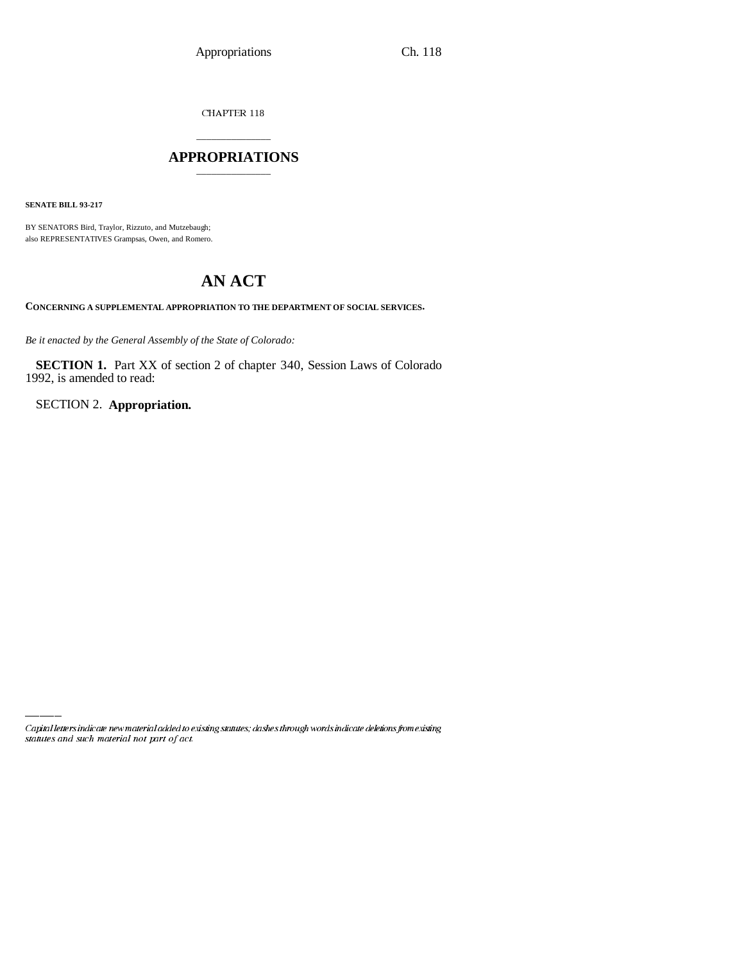CHAPTER 118

## \_\_\_\_\_\_\_\_\_\_\_\_\_\_\_ **APPROPRIATIONS** \_\_\_\_\_\_\_\_\_\_\_\_\_\_\_

**SENATE BILL 93-217**

BY SENATORS Bird, Traylor, Rizzuto, and Mutzebaugh; also REPRESENTATIVES Grampsas, Owen, and Romero.

# **AN ACT**

**CONCERNING A SUPPLEMENTAL APPROPRIATION TO THE DEPARTMENT OF SOCIAL SERVICES.**

*Be it enacted by the General Assembly of the State of Colorado:*

**SECTION 1.** Part XX of section 2 of chapter 340, Session Laws of Colorado 1992, is amended to read:

SECTION 2. **Appropriation.**

Capital letters indicate new material added to existing statutes; dashes through words indicate deletions from existing statutes and such material not part of act.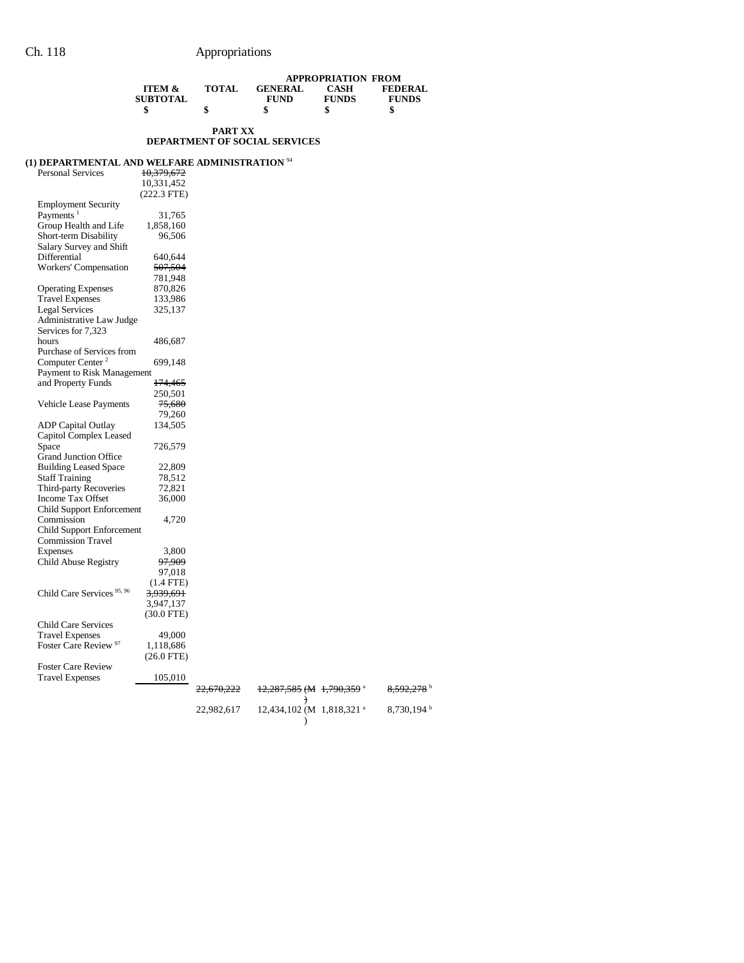|                   |              | <b>APPROPRIATION FROM</b> |              |                |  |  |
|-------------------|--------------|---------------------------|--------------|----------------|--|--|
| <b>ITEM &amp;</b> | <b>TOTAL</b> | <b>GENERAL</b>            | <b>CASH</b>  | <b>FEDERAL</b> |  |  |
| <b>SUBTOTAL</b>   |              | <b>FUND</b>               | <b>FUNDS</b> | <b>FUNDS</b>   |  |  |
|                   |              | \$                        |              |                |  |  |
|                   |              |                           |              |                |  |  |

### **PART XX DEPARTMENT OF SOCIAL SERVICES**

## **(1) DEPARTMENTAL AND WELFARE ADMINISTRATION** <sup>94</sup>

| Personal Services                     | 10,379,672           |                       |                                      |  |
|---------------------------------------|----------------------|-----------------------|--------------------------------------|--|
|                                       | 10,331,452           |                       |                                      |  |
|                                       | $(222.3$ FTE)        |                       |                                      |  |
| <b>Employment Security</b>            |                      |                       |                                      |  |
| Payments <sup>1</sup>                 | 31,765               |                       |                                      |  |
| Group Health and Life                 | 1,858,160            |                       |                                      |  |
| Short-term Disability                 | 96,506               |                       |                                      |  |
| Salary Survey and Shift               |                      |                       |                                      |  |
| Differential                          | 640,644              |                       |                                      |  |
| Workers' Compensation                 | <del>507,504</del>   |                       |                                      |  |
|                                       | 781,948              |                       |                                      |  |
| <b>Operating Expenses</b>             | 870,826              |                       |                                      |  |
| <b>Travel Expenses</b>                | 133,986              |                       |                                      |  |
| <b>Legal Services</b>                 | 325,137              |                       |                                      |  |
| Administrative Law Judge              |                      |                       |                                      |  |
| Services for 7,323                    |                      |                       |                                      |  |
| hours                                 | 486,687              |                       |                                      |  |
| Purchase of Services from             |                      |                       |                                      |  |
| Computer Center <sup>2</sup>          | 699,148              |                       |                                      |  |
| Payment to Risk Management            |                      |                       |                                      |  |
| and Property Funds                    | <del>174,465</del>   |                       |                                      |  |
|                                       | 250,501              |                       |                                      |  |
| Vehicle Lease Payments                | 75,680               |                       |                                      |  |
|                                       | 79,260               |                       |                                      |  |
| <b>ADP</b> Capital Outlay             | 134,505              |                       |                                      |  |
| Capitol Complex Leased                |                      |                       |                                      |  |
| Space                                 | 726,579              |                       |                                      |  |
| <b>Grand Junction Office</b>          |                      |                       |                                      |  |
| <b>Building Leased Space</b>          | 22,809               |                       |                                      |  |
| <b>Staff Training</b>                 | 78,512               |                       |                                      |  |
| Third-party Recoveries                | 72,821               |                       |                                      |  |
| Income Tax Offset                     | 36,000               |                       |                                      |  |
| Child Support Enforcement             |                      |                       |                                      |  |
| Commission                            | 4,720                |                       |                                      |  |
| <b>Child Support Enforcement</b>      |                      |                       |                                      |  |
| Commission Travel                     |                      |                       |                                      |  |
| <b>Expenses</b>                       | 3,800                |                       |                                      |  |
| Child Abuse Registry                  | <del>97,909</del>    |                       |                                      |  |
|                                       | 97,018               |                       |                                      |  |
|                                       | $(1.4$ FTE)          |                       |                                      |  |
| Child Care Services <sup>95, 96</sup> | <del>3,939,691</del> |                       |                                      |  |
|                                       | 3,947,137            |                       |                                      |  |
|                                       |                      |                       |                                      |  |
|                                       | $(30.0$ FTE)         |                       |                                      |  |
| <b>Child Care Services</b>            |                      |                       |                                      |  |
| <b>Travel Expenses</b>                | 49,000               |                       |                                      |  |
| Foster Care Review <sup>97</sup>      | 1,118,686            |                       |                                      |  |
|                                       | $(26.0 \text{ FTE})$ |                       |                                      |  |
| <b>Foster Care Review</b>             |                      |                       |                                      |  |
| <b>Travel Expenses</b>                | 105,010              |                       |                                      |  |
|                                       |                      | <del>22,670,222</del> | <del>12,287,585 (M 1,790,359</del> a |  |

) 22,982,617 12,434,102 (M )

8,592,278 b  $8,730,194$  b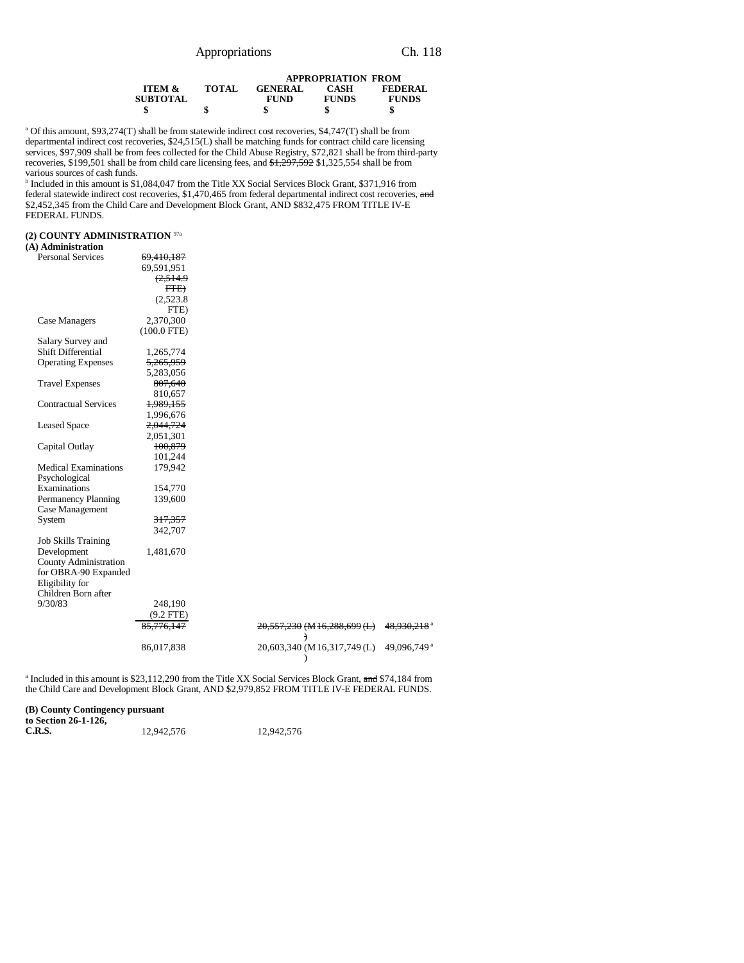|                                 |              | <b>APPROPRIATION FROM</b> |              |                |  |
|---------------------------------|--------------|---------------------------|--------------|----------------|--|
| <b>ITEM <math>\&amp;</math></b> | <b>TOTAL</b> | <b>GENERAL</b>            | CASH         | <b>FEDERAL</b> |  |
| <b>SUBTOTAL</b>                 |              | <b>FUND</b>               | <b>FUNDS</b> | <b>FUNDS</b>   |  |
|                                 | S            |                           | \$           | \$             |  |

a Of this amount, \$93,274(T) shall be from statewide indirect cost recoveries, \$4,747(T) shall be from departmental indirect cost recoveries, \$24,515(L) shall be matching funds for contract child care licensing services, \$97,909 shall be from fees collected for the Child Abuse Registry, \$72,821 shall be from third-party recoveries, \$199,501 shall be from child care licensing fees, and  $\frac{1}{2}$ ,  $\frac{1}{2}$ ,  $\frac{297}{592}$  \$1,325,554 shall be from various sources of cash funds.

<sup>b</sup> Included in this amount is \$1,084,047 from the Title XX Social Services Block Grant, \$371,916 from federal statewide indirect cost recoveries, \$1,470,465 from federal departmental indirect cost recoveries, and federal departmental indirect cost recoveries, and \$2,452,345 from the Child Care and Development Block Grant, AND \$832,475 FROM TITLE IV-E FEDERAL FUNDS.

### **(2) COUNTY ADMINISTRATION** 97a

### **(A) Administration**

| <b>Personal Services</b>    | 69,410,187           |                              |                         |
|-----------------------------|----------------------|------------------------------|-------------------------|
|                             | 69,591,951           |                              |                         |
|                             | (2,514.9)            |                              |                         |
|                             | FTE                  |                              |                         |
|                             | (2,523.8)            |                              |                         |
|                             | FTE)                 |                              |                         |
| Case Managers               | 2,370,300            |                              |                         |
|                             | $(100.0$ FTE)        |                              |                         |
| Salary Survey and           |                      |                              |                         |
| <b>Shift Differential</b>   | 1,265,774            |                              |                         |
| <b>Operating Expenses</b>   | <del>5,265,959</del> |                              |                         |
|                             | 5,283,056            |                              |                         |
| <b>Travel Expenses</b>      | 807,640              |                              |                         |
|                             | 810,657              |                              |                         |
| <b>Contractual Services</b> | 1,989,155            |                              |                         |
|                             | 1,996,676            |                              |                         |
| <b>Leased Space</b>         | 2,044,724            |                              |                         |
|                             | 2,051,301            |                              |                         |
| Capital Outlay              | 100,879              |                              |                         |
|                             | 101,244              |                              |                         |
| <b>Medical Examinations</b> | 179,942              |                              |                         |
| Psychological               |                      |                              |                         |
| Examinations                | 154,770              |                              |                         |
| Permanency Planning         | 139,600              |                              |                         |
| Case Management             |                      |                              |                         |
| System                      | 317,357              |                              |                         |
|                             | 342,707              |                              |                         |
| <b>Job Skills Training</b>  |                      |                              |                         |
| Development                 | 1,481,670            |                              |                         |
| County Administration       |                      |                              |                         |
| for OBRA-90 Expanded        |                      |                              |                         |
| Eligibility for             |                      |                              |                         |
| Children Born after         |                      |                              |                         |
| 9/30/83                     | 248,190              |                              |                         |
|                             | $(9.2$ FTE)          |                              |                         |
|                             | 85,776,147           | 20,557,230 (M 16,288,699 (L) | 48.930.218 <sup>a</sup> |
|                             |                      | $\big)$                      |                         |
|                             | 86,017,838           | 20,603,340 (M16,317,749 (L)  | 49,096,749 <sup>a</sup> |

<sup>a</sup> Included in this amount is \$23,112,290 from the Title XX Social Services Block Grant, and \$74,184 from the Child Care and Development Block Grant, AND \$2,979,852 FROM TITLE IV-E FEDERAL FUNDS.

)

|  |  | (B) County Contingency pursuant |  |
|--|--|---------------------------------|--|
|--|--|---------------------------------|--|

| to Section 26-1-126, |            |            |
|----------------------|------------|------------|
| C.R.S.               | 12,942,576 | 12,942,576 |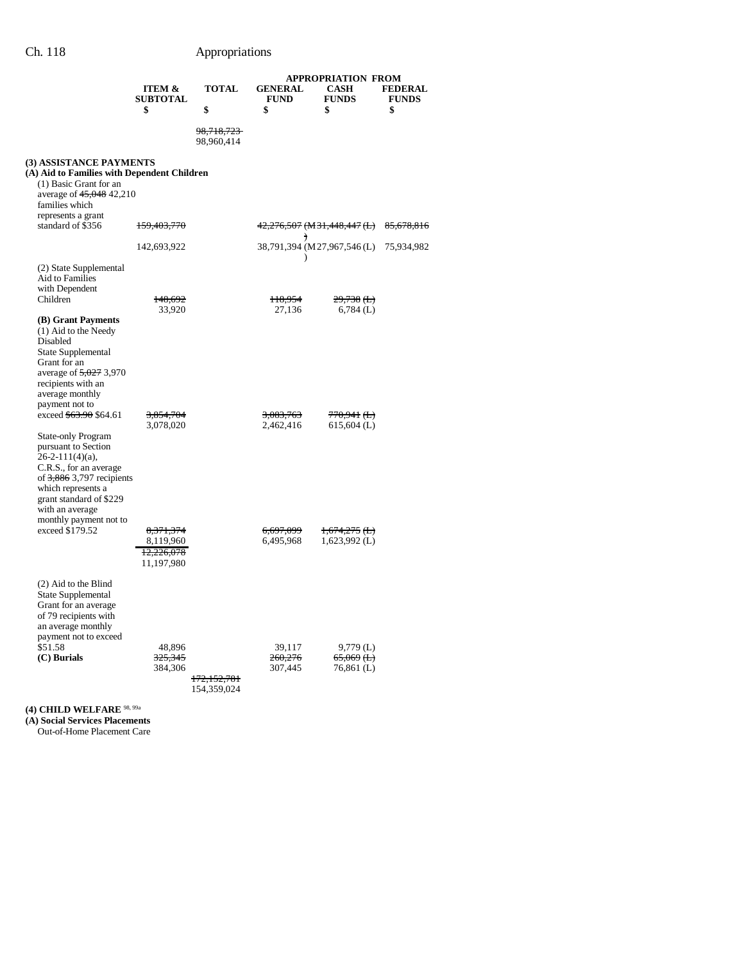|                                                      |                                                | <b>APPROPRIATION FROM</b>                                                                            |                                                    |                                                                                                                                                               |
|------------------------------------------------------|------------------------------------------------|------------------------------------------------------------------------------------------------------|----------------------------------------------------|---------------------------------------------------------------------------------------------------------------------------------------------------------------|
|                                                      |                                                |                                                                                                      |                                                    | <b>FEDERAL</b><br><b>FUNDS</b>                                                                                                                                |
| \$                                                   | \$                                             | \$                                                                                                   | \$                                                 | \$                                                                                                                                                            |
|                                                      | 98,718,723<br>98,960,414                       |                                                                                                      |                                                    |                                                                                                                                                               |
| (3) ASSISTANCE PAYMENTS<br>average of 45,048 42,210  |                                                |                                                                                                      |                                                    |                                                                                                                                                               |
| <del>159,403,770</del>                               |                                                |                                                                                                      |                                                    |                                                                                                                                                               |
| 142,693,922                                          |                                                |                                                                                                      |                                                    |                                                                                                                                                               |
|                                                      |                                                |                                                                                                      |                                                    |                                                                                                                                                               |
| 148,692                                              |                                                | H <sub>8</sub> ,954                                                                                  | $29,738$ ( <b>L</b> )                              |                                                                                                                                                               |
|                                                      |                                                |                                                                                                      |                                                    |                                                                                                                                                               |
| <del>3,854,704</del><br>3,078,020                    |                                                | <del>3,083,763</del><br>2,462,416                                                                    | <del>770,941 (L)</del><br>$615,604$ (L)            |                                                                                                                                                               |
| of $3,886$ 3,797 recipients                          |                                                |                                                                                                      |                                                    |                                                                                                                                                               |
| 8, 371, 374<br>8,119,960<br>12,226,078<br>11,197,980 |                                                | <del>6,697,099</del><br>6,495,968                                                                    | $1,674,275$ ( <b>L</b> )<br>$1,623,992$ (L)        |                                                                                                                                                               |
| 48,896<br>325,345<br>384,306                         |                                                | 39,117<br>260,276<br>307,445                                                                         | $9,779$ (L)<br>$65,069$ ( <b>L</b> )<br>76,861 (L) |                                                                                                                                                               |
|                                                      | <b>ITEM &amp;</b><br><b>SUBTOTAL</b><br>33,920 | <b>TOTAL</b><br>(A) Aid to Families with Dependent Children<br><del>172,152,781</del><br>154,359,024 | <b>GENERAL</b><br><b>FUND</b><br>27,136            | <b>CASH</b><br><b>FUNDS</b><br>42,276,507 (M 31,448,447 (L) 85,678,816<br>$\rightarrow$<br>38,791,394 (M27,967,546 (L) 75,934,982<br>$\lambda$<br>$6,784$ (L) |

**(4) CHILD WELFARE** 98, 99a

**(A) Social Services Placements**

Out-of-Home Placement Care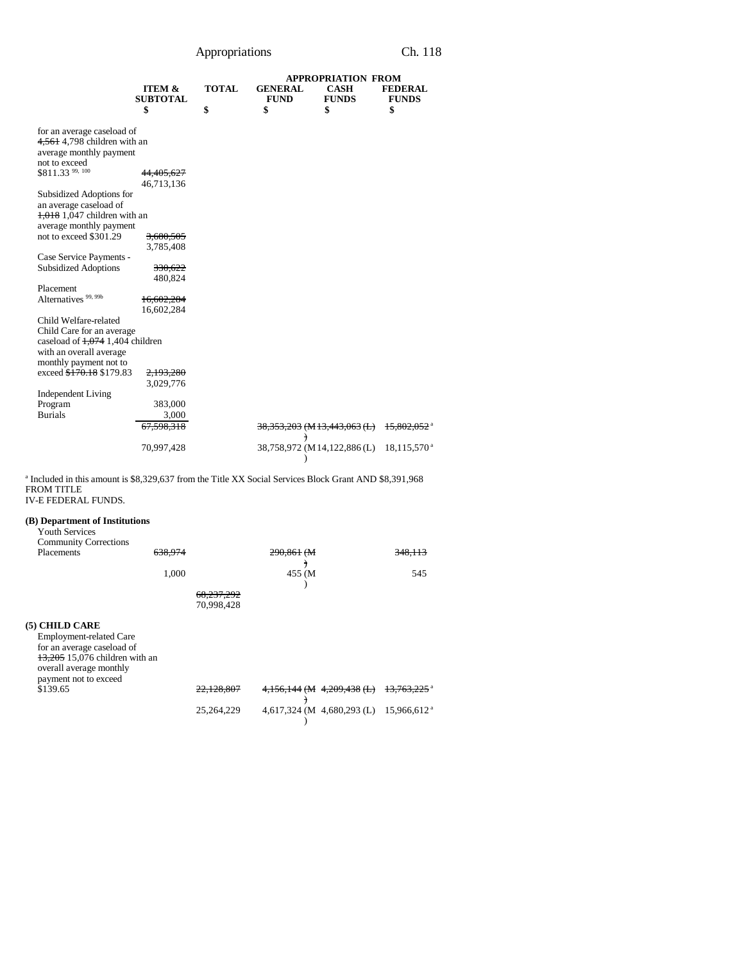|                                     |                      |              |                | APPROPRIATION FROM                      |                           |
|-------------------------------------|----------------------|--------------|----------------|-----------------------------------------|---------------------------|
|                                     | <b>ITEM &amp;</b>    | <b>TOTAL</b> | <b>GENERAL</b> | <b>CASH</b>                             | <b>FEDERAL</b>            |
|                                     | <b>SUBTOTAL</b>      |              | <b>FUND</b>    | <b>FUNDS</b>                            | <b>FUNDS</b>              |
|                                     | \$                   | \$           | \$             | \$                                      | \$                        |
|                                     |                      |              |                |                                         |                           |
| for an average caseload of          |                      |              |                |                                         |                           |
| 4,561 4,798 children with an        |                      |              |                |                                         |                           |
| average monthly payment             |                      |              |                |                                         |                           |
| not to exceed                       |                      |              |                |                                         |                           |
| \$811.33 99, 100                    | 44,405,627           |              |                |                                         |                           |
|                                     | 46,713,136           |              |                |                                         |                           |
| Subsidized Adoptions for            |                      |              |                |                                         |                           |
| an average caseload of              |                      |              |                |                                         |                           |
| $1,018$ 1,047 children with an      |                      |              |                |                                         |                           |
| average monthly payment             |                      |              |                |                                         |                           |
| not to exceed \$301.29              | <del>3,680,505</del> |              |                |                                         |                           |
|                                     | 3,785,408            |              |                |                                         |                           |
| Case Service Payments -             |                      |              |                |                                         |                           |
| <b>Subsidized Adoptions</b>         | 330,622              |              |                |                                         |                           |
|                                     | 480,824              |              |                |                                         |                           |
| Placement                           |                      |              |                |                                         |                           |
| Alternatives <sup>99, 99b</sup>     |                      |              |                |                                         |                           |
|                                     | 16,602,284           |              |                |                                         |                           |
|                                     | 16,602,284           |              |                |                                         |                           |
| Child Welfare-related               |                      |              |                |                                         |                           |
| Child Care for an average           |                      |              |                |                                         |                           |
| caseload of $1,074$ 1,404 children  |                      |              |                |                                         |                           |
| with an overall average             |                      |              |                |                                         |                           |
| monthly payment not to              |                      |              |                |                                         |                           |
| exceed <del>\$170.18</del> \$179.83 | 2,193,280            |              |                |                                         |                           |
|                                     | 3,029,776            |              |                |                                         |                           |
| <b>Independent Living</b>           |                      |              |                |                                         |                           |
| Program                             | 383,000              |              |                |                                         |                           |
| <b>Burials</b>                      | 3,000                |              |                |                                         |                           |
|                                     | 67,598,318           |              |                | <del>38,353,203</del> (M 13,443,063 (L) | $15,802,052$ <sup>a</sup> |
|                                     |                      |              | €              |                                         |                           |
|                                     | 70,997,428           |              |                | 38,758,972 (M14,122,886 (L)             | 18,115,570 <sup>a</sup>   |
|                                     |                      |              |                |                                         |                           |

a Included in this amount is \$8,329,637 from the Title XX Social Services Block Grant AND \$8,391,968 FROM TITLE IV-E FEDERAL FUNDS.

## **(B) Department of Institutions**

| <b>Youth Services</b>             |         |              |                                |                           |
|-----------------------------------|---------|--------------|--------------------------------|---------------------------|
| <b>Community Corrections</b>      |         |              |                                |                           |
| Placements                        | 638.974 |              | 290.861 (M)                    | 348.113                   |
|                                   |         |              |                                |                           |
|                                   | 1,000   |              | 455 (M                         | 545                       |
|                                   |         |              |                                |                           |
|                                   |         | 68,237,292   |                                |                           |
|                                   |         | 70,998,428   |                                |                           |
| (5) CHILD CARE                    |         |              |                                |                           |
| <b>Employment-related Care</b>    |         |              |                                |                           |
| for an average caseload of        |         |              |                                |                           |
| 13,205 15,076 children with an    |         |              |                                |                           |
|                                   |         |              |                                |                           |
| overall average monthly           |         |              |                                |                           |
| payment not to exceed<br>\$139.65 |         | 22,128,807   | $4,156,144$ (M $4,209,438$ (L) | 13,763,225 <sup>a</sup>   |
|                                   |         |              |                                |                           |
|                                   |         |              |                                |                           |
|                                   |         | 25, 264, 229 | $4,617,324$ (M $4,680,293$ (L) | $15,966,612$ <sup>a</sup> |
|                                   |         |              |                                |                           |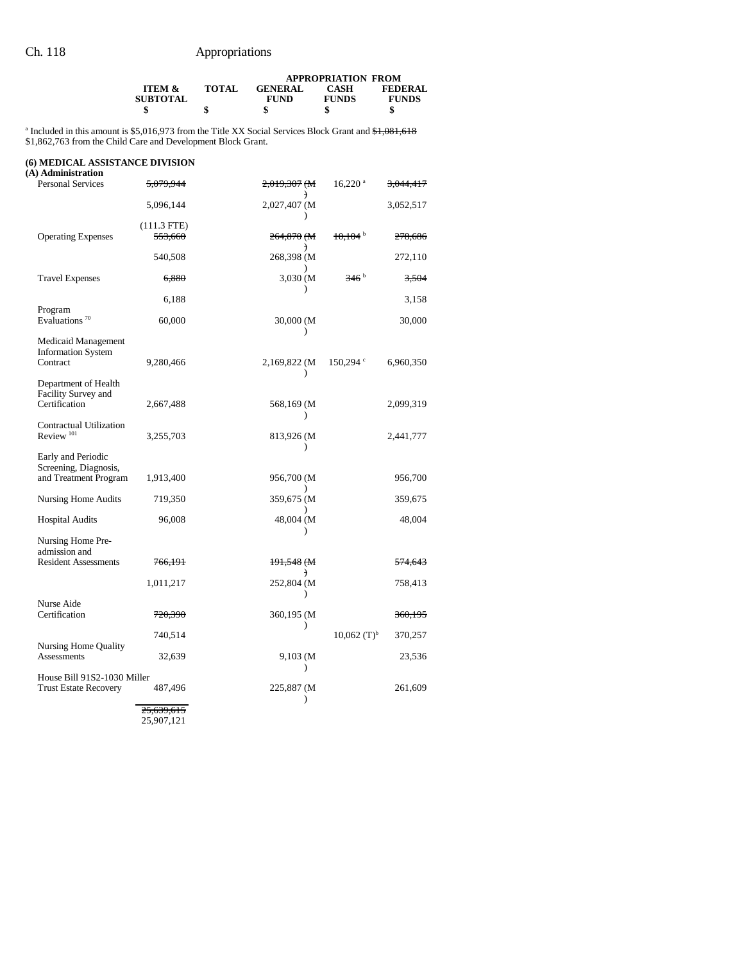|                                                                                                                              |              |                               | <b>APPROPRIATION FROM</b>   |                                |
|------------------------------------------------------------------------------------------------------------------------------|--------------|-------------------------------|-----------------------------|--------------------------------|
| <b>ITEM &amp;</b><br><b>SUBTOTAL</b>                                                                                         | <b>TOTAL</b> | <b>GENERAL</b><br><b>FUND</b> | <b>CASH</b><br><b>FUNDS</b> | <b>FEDERAL</b><br><b>FUNDS</b> |
|                                                                                                                              |              |                               |                             |                                |
| <sup>a</sup> Included in this amount is \$5,016,973 from the Title XX Social Services Block Grant and <del>\$1,081,618</del> |              |                               |                             |                                |

\$1,862,763 from the Child Care and Development Block Grant.

### **(6) MEDICAL ASSISTANCE DIVISION**

| (A) Administration                                          |                       |                                          |                           |                      |
|-------------------------------------------------------------|-----------------------|------------------------------------------|---------------------------|----------------------|
| <b>Personal Services</b>                                    | <del>5.079.944</del>  | <del>2,019,307 (M</del><br>$\rightarrow$ | $16,220$ <sup>a</sup>     | <del>3.044.417</del> |
|                                                             | 5,096,144             | 2,027,407 (M)<br>$\lambda$               |                           | 3,052,517            |
|                                                             | (111.3 FTE)           |                                          |                           |                      |
| <b>Operating Expenses</b>                                   | <del>553,660</del>    | 264,870 (M                               | $10,104$ <sup>b</sup>     | 278,686              |
|                                                             | 540,508               | $\mathcal{F}$<br>268,398 (M              |                           | 272,110              |
| <b>Travel Expenses</b>                                      | 6,880                 | 3,030 (M)<br>$\mathcal{E}$               | 346 <sup>b</sup>          | 3,504                |
|                                                             | 6,188                 |                                          |                           | 3,158                |
| Program<br>Evaluations <sup>70</sup>                        | 60,000                | 30,000 (M)                               |                           | 30,000               |
| Medicaid Management                                         |                       |                                          |                           |                      |
| <b>Information System</b><br>Contract                       | 9,280,466             | 2,169,822 (M)                            | $150,294$ $\circ$         | 6,960,350            |
| Department of Health                                        |                       | $\lambda$                                |                           |                      |
| Facility Survey and                                         |                       |                                          |                           |                      |
| Certification                                               | 2,667,488             | 568,169 (M                               |                           | 2,099,319            |
| Contractual Utilization<br>Review <sup>101</sup>            | 3,255,703             | $\lambda$<br>813,926 (M)                 |                           | 2,441,777            |
|                                                             |                       | $\lambda$                                |                           |                      |
| Early and Periodic<br>Screening, Diagnosis,                 |                       |                                          |                           |                      |
| and Treatment Program                                       | 1,913,400             | 956,700 (M<br>$\lambda$                  |                           | 956,700              |
| <b>Nursing Home Audits</b>                                  | 719,350               | 359,675 (M                               |                           | 359,675              |
| <b>Hospital Audits</b>                                      | 96,008                | 48,004 (M)                               |                           | 48,004               |
| Nursing Home Pre-                                           |                       | $\lambda$                                |                           |                      |
| admission and                                               |                       |                                          |                           |                      |
| <b>Resident Assessments</b>                                 | 766,191               | 191,548 (M<br>$\big)$                    |                           | <del>574,643</del>   |
|                                                             | 1,011,217             | 252,804 (M<br>$\lambda$                  |                           | 758,413              |
| Nurse Aide                                                  |                       |                                          |                           |                      |
| Certification                                               | <del>720,390</del>    | 360,195 (M                               |                           | <del>360,195</del>   |
| Nursing Home Quality                                        | 740,514               | $\lambda$                                | $10,062$ (T) <sup>b</sup> | 370,257              |
| <b>Assessments</b>                                          | 32,639                | 9,103 (M                                 |                           | 23,536               |
|                                                             |                       | $\mathcal{E}$                            |                           |                      |
| House Bill 91S2-1030 Miller<br><b>Trust Estate Recovery</b> | 487,496               | 225,887 (M<br>$\lambda$                  |                           | 261,609              |
|                                                             | <del>25.639.615</del> |                                          |                           |                      |

25,907,121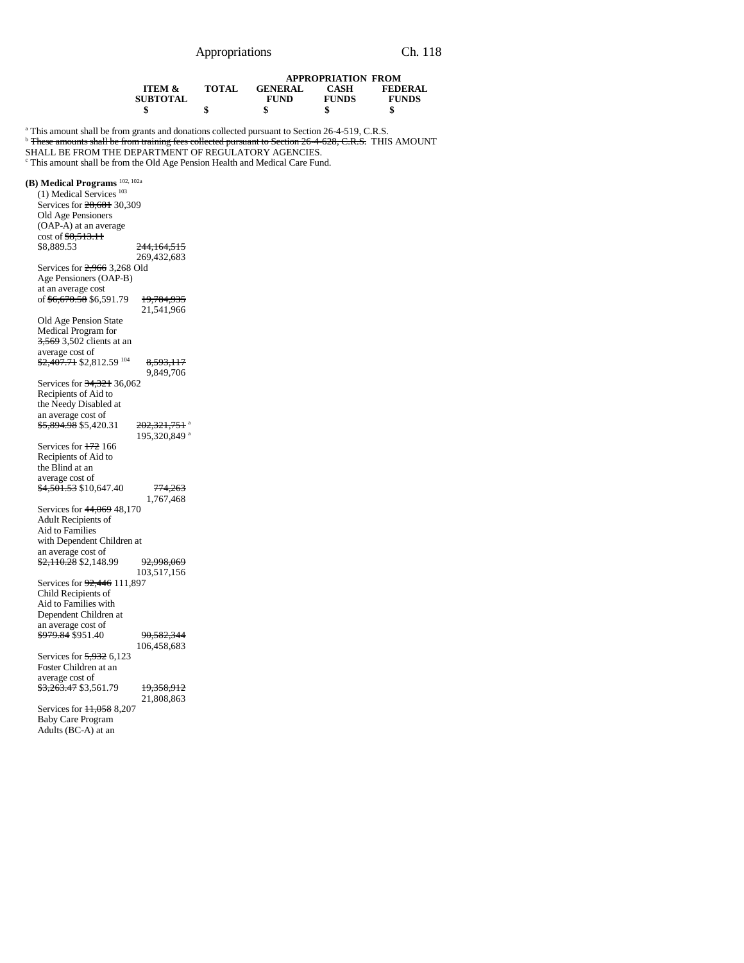|                                                                                                                                                                           | <b>ITEM &amp;</b>          | <b>TOTAL</b> | <b>GENERAL</b> | <b>APPROPRIATION FROM</b><br><b>CASH</b> | <b>FEDERAL</b> |
|---------------------------------------------------------------------------------------------------------------------------------------------------------------------------|----------------------------|--------------|----------------|------------------------------------------|----------------|
|                                                                                                                                                                           | <b>SUBTOTAL</b>            |              | <b>FUND</b>    | <b>FUNDS</b>                             | <b>FUNDS</b>   |
|                                                                                                                                                                           | \$                         | \$           | \$             | \$                                       | \$             |
| <sup>a</sup> This amount shall be from grants and donations collected pursuant to Section 26-4-519, C.R.S.                                                                |                            |              |                |                                          |                |
| <sup>b</sup> These amounts shall be from training fees collected pursuant to Section 26-4-628, C.R.S. THIS AMOUNT<br>SHALL BE FROM THE DEPARTMENT OF REGULATORY AGENCIES. |                            |              |                |                                          |                |
| <sup>c</sup> This amount shall be from the Old Age Pension Health and Medical Care Fund.                                                                                  |                            |              |                |                                          |                |
| (B) Medical Programs <sup>102, 102a</sup>                                                                                                                                 |                            |              |                |                                          |                |
| $(1)$ Medical Services <sup>103</sup>                                                                                                                                     |                            |              |                |                                          |                |
| Services for 28,681 30,309                                                                                                                                                |                            |              |                |                                          |                |
| Old Age Pensioners                                                                                                                                                        |                            |              |                |                                          |                |
| (OAP-A) at an average                                                                                                                                                     |                            |              |                |                                          |                |
| $\cot 63, 513.11$                                                                                                                                                         |                            |              |                |                                          |                |
| \$8,889.53                                                                                                                                                                | <del>244,164,515</del>     |              |                |                                          |                |
| Services for $2,966$ 3,268 Old                                                                                                                                            | 269,432,683                |              |                |                                          |                |
| Age Pensioners (OAP-B)                                                                                                                                                    |                            |              |                |                                          |                |
| at an average cost                                                                                                                                                        |                            |              |                |                                          |                |
| of <del>\$6,670.58</del> \$6,591.79                                                                                                                                       | 19,784,935                 |              |                |                                          |                |
|                                                                                                                                                                           | 21,541,966                 |              |                |                                          |                |
| Old Age Pension State                                                                                                                                                     |                            |              |                |                                          |                |
| Medical Program for                                                                                                                                                       |                            |              |                |                                          |                |
| <del>3,569</del> 3,502 clients at an                                                                                                                                      |                            |              |                |                                          |                |
| average cost of                                                                                                                                                           |                            |              |                |                                          |                |
| \$2,407.71 \$2,812.59 104                                                                                                                                                 | 8,593,117                  |              |                |                                          |                |
|                                                                                                                                                                           | 9,849,706                  |              |                |                                          |                |
| Services for 34,321 36,062<br>Recipients of Aid to                                                                                                                        |                            |              |                |                                          |                |
| the Needy Disabled at                                                                                                                                                     |                            |              |                |                                          |                |
| an average cost of                                                                                                                                                        |                            |              |                |                                          |                |
| <del>\$5,894.98</del> \$5,420.31                                                                                                                                          | 202, 321, 751 <sup>a</sup> |              |                |                                          |                |
|                                                                                                                                                                           | 195,320,849 <sup>a</sup>   |              |                |                                          |                |
| Services for 172 166                                                                                                                                                      |                            |              |                |                                          |                |
| Recipients of Aid to                                                                                                                                                      |                            |              |                |                                          |                |
| the Blind at an                                                                                                                                                           |                            |              |                |                                          |                |
| average cost of                                                                                                                                                           |                            |              |                |                                          |                |
| <del>\$4,501.53</del> \$10,647.40                                                                                                                                         | <del>774,263</del>         |              |                |                                          |                |
|                                                                                                                                                                           | 1,767,468                  |              |                |                                          |                |
| Services for 44,069 48,170                                                                                                                                                |                            |              |                |                                          |                |
| Adult Recipients of<br>Aid to Families                                                                                                                                    |                            |              |                |                                          |                |
| with Dependent Children at                                                                                                                                                |                            |              |                |                                          |                |
| an average cost of                                                                                                                                                        |                            |              |                |                                          |                |
| <del>\$2,110.28</del> \$2,148.99                                                                                                                                          | 92,998,069                 |              |                |                                          |                |
|                                                                                                                                                                           | 103,517,156                |              |                |                                          |                |
| Services for <del>92,446</del> 111,897                                                                                                                                    |                            |              |                |                                          |                |
| Child Recipients of                                                                                                                                                       |                            |              |                |                                          |                |
| Aid to Families with                                                                                                                                                      |                            |              |                |                                          |                |
| Dependent Children at                                                                                                                                                     |                            |              |                |                                          |                |
| an average cost of                                                                                                                                                        |                            |              |                |                                          |                |
| <del>\$979.84</del> \$951.40                                                                                                                                              | <del>90,582,344</del>      |              |                |                                          |                |
| Services for 5,932 6,123                                                                                                                                                  | 106,458,683                |              |                |                                          |                |
| Foster Children at an                                                                                                                                                     |                            |              |                |                                          |                |
| average cost of                                                                                                                                                           |                            |              |                |                                          |                |
| \$3,263.47 \$3,561.79                                                                                                                                                     | <del>19,358,912</del>      |              |                |                                          |                |
|                                                                                                                                                                           | 21,808,863                 |              |                |                                          |                |
| Services for 11,058 8,207                                                                                                                                                 |                            |              |                |                                          |                |
| <b>Baby Care Program</b>                                                                                                                                                  |                            |              |                |                                          |                |
| Adults (BC-A) at an                                                                                                                                                       |                            |              |                |                                          |                |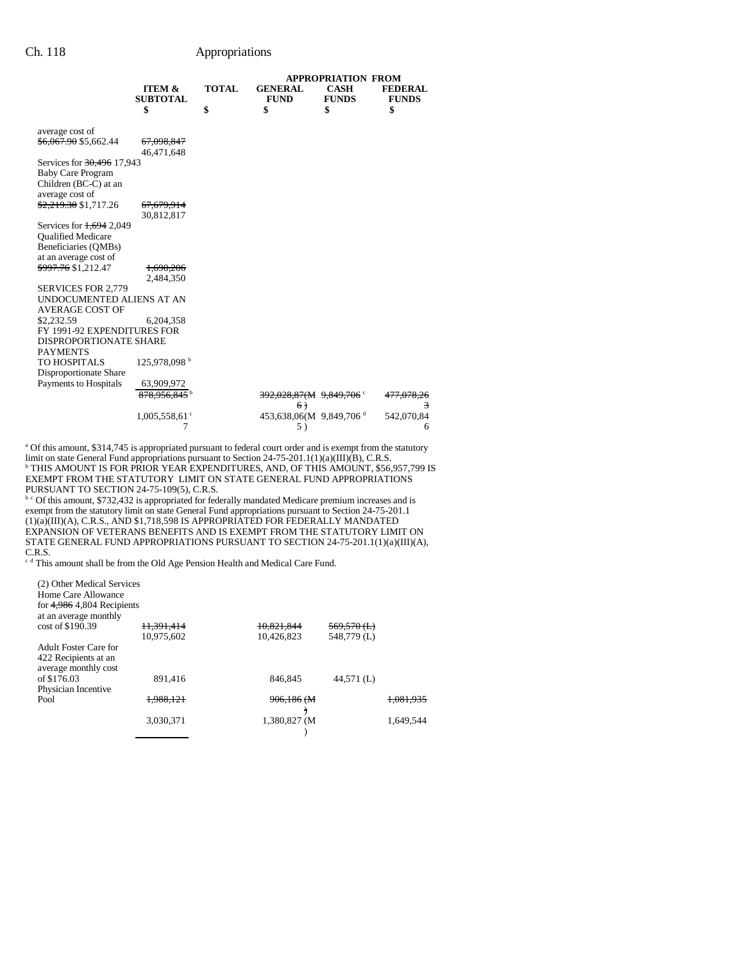|                                  |                                      |              |                                     | <b>APPROPRIATION FROM</b>   |                                |
|----------------------------------|--------------------------------------|--------------|-------------------------------------|-----------------------------|--------------------------------|
|                                  | <b>ITEM &amp;</b><br><b>SUBTOTAL</b> | <b>TOTAL</b> | <b>GENERAL</b><br><b>FUND</b>       | <b>CASH</b><br><b>FUNDS</b> | <b>FEDERAL</b><br><b>FUNDS</b> |
|                                  | \$                                   | \$           | \$                                  | \$                          | \$                             |
| average cost of                  |                                      |              |                                     |                             |                                |
| <del>\$6,067.90</del> \$5,662.44 | <del>67,098,847</del><br>46,471,648  |              |                                     |                             |                                |
| Services for 30,496 17,943       |                                      |              |                                     |                             |                                |
| <b>Baby Care Program</b>         |                                      |              |                                     |                             |                                |
| Children (BC-C) at an            |                                      |              |                                     |                             |                                |
| average cost of                  |                                      |              |                                     |                             |                                |
| <del>\$2,219.30</del> \$1,717.26 | <del>67,679,914</del>                |              |                                     |                             |                                |
|                                  | 30,812,817                           |              |                                     |                             |                                |
| Services for 1,694 2,049         |                                      |              |                                     |                             |                                |
| <b>Qualified Medicare</b>        |                                      |              |                                     |                             |                                |
| Beneficiaries (QMBs)             |                                      |              |                                     |                             |                                |
| at an average cost of            |                                      |              |                                     |                             |                                |
| <del>\$997.76</del> \$1,212.47   | 1,690,206                            |              |                                     |                             |                                |
|                                  | 2,484,350                            |              |                                     |                             |                                |
| <b>SERVICES FOR 2,779</b>        |                                      |              |                                     |                             |                                |
| UNDOCUMENTED ALIENS AT AN        |                                      |              |                                     |                             |                                |
| <b>AVERAGE COST OF</b>           |                                      |              |                                     |                             |                                |
| \$2,232.59                       | 6,204,358                            |              |                                     |                             |                                |
| FY 1991-92 EXPENDITURES FOR      |                                      |              |                                     |                             |                                |
| <b>DISPROPORTIONATE SHARE</b>    |                                      |              |                                     |                             |                                |
| <b>PAYMENTS</b>                  |                                      |              |                                     |                             |                                |
| TO HOSPITALS                     | 125,978,098 <sup>b</sup>             |              |                                     |                             |                                |
| Disproportionate Share           |                                      |              |                                     |                             |                                |
| Payments to Hospitals            | 63,909,972                           |              |                                     |                             |                                |
|                                  | 878.956.845 <sup>b</sup>             |              | $392,028,87(M$ 9,849,706 °          |                             | <del>477.078.26</del>          |
|                                  |                                      |              | 6)                                  |                             | 3                              |
|                                  | 1,005,558,61°                        |              | 453,638,06(M 9,849,706 <sup>d</sup> |                             | 542,070.84                     |
|                                  | 7                                    |              | 5)                                  |                             | 6                              |

<sup>a</sup> Of this amount, \$314,745 is appropriated pursuant to federal court order and is exempt from the statutory limit on state General Fund appropriations pursuant to Section 24-75-201.1(1)(a)(III)(B), C.R.S.<br><sup>b</sup> THIS AMOUNT IS FOR PRIOR YEAR EXPENDITURES, AND, OF THIS AMOUNT, \$56,957,799 IS EXEMPT FROM THE STATUTORY LIMIT ON STATE GENERAL FUND APPROPRIATIONS PURSUANT TO SECTION 24-75-109(5), C.R.S.<br><sup>b c</sup> Of this amount, \$732,432 is appropriated for federally mandated Medicare premium increases and is

exempt from the statutory limit on state General Fund appropriations pursuant to Section 24-75-201.1 (1)(a)(III)(A), C.R.S., AND \$1,718,598 IS APPROPRIATED FOR FEDERALLY MANDATED EXPANSION OF VETERANS BENEFITS AND IS EXEMPT FROM THE STATUTORY LIMIT ON STATE GENERAL FUND APPROPRIATIONS PURSUANT TO SECTION 24-75-201.1(1)(a)(III)(A),

C.R.S. c d This amount shall be from the Old Age Pension Health and Medical Care Fund.

| (2) Other Medical Services<br>Home Care Allowance<br>for $4,986$ 4,804 Recipients<br>at an average monthly |            |              |                        |                      |
|------------------------------------------------------------------------------------------------------------|------------|--------------|------------------------|----------------------|
| cost of \$190.39                                                                                           | 11.391.414 | 10,821,844   | <del>569.570 (L)</del> |                      |
|                                                                                                            | 10.975.602 | 10.426.823   | 548,779 (L)            |                      |
| Adult Foster Care for<br>422 Recipients at an<br>average monthly cost                                      |            |              |                        |                      |
| of \$176.03<br>Physician Incentive                                                                         | 891.416    | 846.845      | 44,571 (L)             |                      |
| Pool                                                                                                       | 1.988.121  | 906.186 (M   |                        | <del>1.081.935</del> |
|                                                                                                            | 3,030,371  | 1,380,827 (M |                        | 1,649,544            |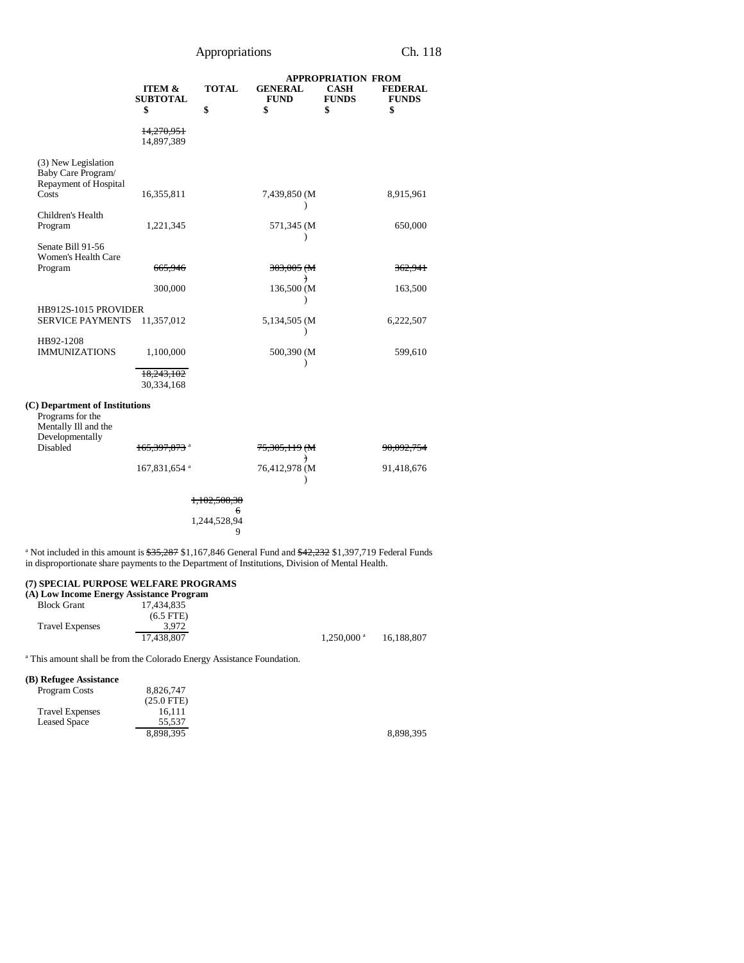|                                                                                                                                                                                                                                          |                                      |                   |                               | <b>APPROPRIATION FROM</b>   |                                |
|------------------------------------------------------------------------------------------------------------------------------------------------------------------------------------------------------------------------------------------|--------------------------------------|-------------------|-------------------------------|-----------------------------|--------------------------------|
|                                                                                                                                                                                                                                          | <b>ITEM &amp;</b><br><b>SUBTOTAL</b> | <b>TOTAL</b>      | <b>GENERAL</b><br><b>FUND</b> | <b>CASH</b><br><b>FUNDS</b> | <b>FEDERAL</b><br><b>FUNDS</b> |
|                                                                                                                                                                                                                                          | \$                                   | \$                | \$                            | \$                          | \$                             |
|                                                                                                                                                                                                                                          | <del>14,270,951</del><br>14,897,389  |                   |                               |                             |                                |
| (3) New Legislation<br>Baby Care Program/<br>Repayment of Hospital<br>Costs                                                                                                                                                              | 16,355,811                           |                   | 7,439,850 (M                  |                             | 8,915,961                      |
| Children's Health                                                                                                                                                                                                                        |                                      |                   |                               |                             |                                |
| Program                                                                                                                                                                                                                                  | 1,221,345                            |                   | 571,345 (M)<br>℩              |                             | 650,000                        |
| Senate Bill 91-56<br>Women's Health Care                                                                                                                                                                                                 |                                      |                   |                               |                             |                                |
| Program                                                                                                                                                                                                                                  | 665,946                              |                   | 303,005 (M                    |                             | <del>362,941</del>             |
|                                                                                                                                                                                                                                          | 300,000                              |                   | €<br>136,500 (M               |                             | 163,500                        |
| HB912S-1015 PROVIDER<br>SERVICE PAYMENTS 11,357,012                                                                                                                                                                                      |                                      |                   | 5,134,505 (M)                 |                             | 6,222,507                      |
|                                                                                                                                                                                                                                          |                                      |                   | ⟩                             |                             |                                |
| HB92-1208<br><b>IMMUNIZATIONS</b>                                                                                                                                                                                                        | 1,100,000                            |                   | 500,390 (M)                   |                             | 599,610                        |
|                                                                                                                                                                                                                                          | 18,243,102<br>30,334,168             |                   |                               |                             |                                |
| (C) Department of Institutions<br>Programs for the<br>Mentally Ill and the<br>Developmentally                                                                                                                                            |                                      |                   |                               |                             |                                |
| Disabled                                                                                                                                                                                                                                 | 165,397,873 <sup>a</sup>             |                   | <del>75,305,119</del> (M<br>€ |                             | <del>90.092,754</del>          |
|                                                                                                                                                                                                                                          | 167,831,654 a                        |                   | 76,412,978 (M                 |                             | 91,418,676                     |
|                                                                                                                                                                                                                                          |                                      |                   |                               |                             |                                |
|                                                                                                                                                                                                                                          |                                      |                   |                               |                             |                                |
|                                                                                                                                                                                                                                          |                                      | 1,244,528,94<br>9 |                               |                             |                                |
| <sup>a</sup> Not included in this amount is $\frac{$35,287}{$1,167,846}$ General Fund and $\frac{$42,232}{$1,397,719}$ Federal Funds<br>in disproportionate share payments to the Department of Institutions, Division of Mental Health. |                                      |                   |                               |                             |                                |

## **(7) SPECIAL PURPOSE WELFARE PROGRAMS**

| (A) Low Income Energy Assistance Program |             |                          |            |
|------------------------------------------|-------------|--------------------------|------------|
| <b>Block Grant</b>                       | 17.434.835  |                          |            |
|                                          | $(6.5$ FTE) |                          |            |
| <b>Travel Expenses</b>                   | 3.972       |                          |            |
|                                          | 17.438.807  | $1.250,000$ <sup>a</sup> | 16.188.807 |

<sup>a</sup> This amount shall be from the Colorado Energy Assistance Foundation.

## **(B) Refugee Assistance**

| Program Costs          | 8,826,747    |  |
|------------------------|--------------|--|
|                        | $(25.0$ FTE) |  |
| <b>Travel Expenses</b> | 16.111       |  |
| <b>Leased Space</b>    | 55.537       |  |
|                        | 8.898.395    |  |

8,898,395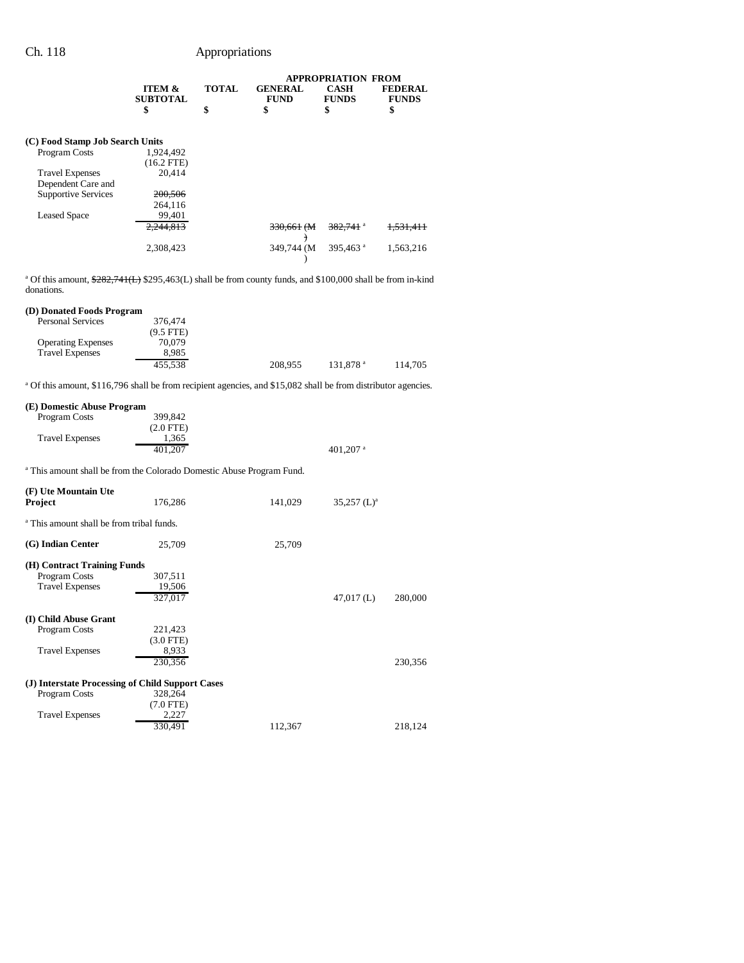|                                 | <b>ITEM &amp;</b>     | <b>TOTAL</b> | <b>GENERAL</b>    | APPROPRIATION FROM<br><b>CASH</b> | <b>FEDERAL</b>       |
|---------------------------------|-----------------------|--------------|-------------------|-----------------------------------|----------------------|
|                                 | <b>SUBTOTAL</b><br>\$ | \$           | <b>FUND</b><br>\$ | <b>FUNDS</b><br>\$                | <b>FUNDS</b><br>\$   |
|                                 |                       |              |                   |                                   |                      |
| (C) Food Stamp Job Search Units |                       |              |                   |                                   |                      |
| Program Costs                   | 1,924,492             |              |                   |                                   |                      |
|                                 | $(16.2$ FTE)          |              |                   |                                   |                      |
| <b>Travel Expenses</b>          | 20.414                |              |                   |                                   |                      |
| Dependent Care and              |                       |              |                   |                                   |                      |
| <b>Supportive Services</b>      | 200,506               |              |                   |                                   |                      |
|                                 | 264,116               |              |                   |                                   |                      |
| <b>Leased Space</b>             | 99,401                |              |                   |                                   |                      |
|                                 | 2.244.813             |              | 330.661 (M)       | $382.741$ <sup>a</sup>            | <del>1.531.411</del> |
|                                 |                       |              |                   |                                   |                      |
|                                 | 2,308,423             |              | 349,744 (M)       | 395,463 <sup>a</sup>              | 1,563,216            |
|                                 |                       |              |                   |                                   |                      |

<sup>a</sup> Of this amount,  $\frac{282}{741(L)}$  \$295,463(L) shall be from county funds, and \$100,000 shall be from in-kind donations.

### **(D) Donated Foods Program**

| <b>Personal Services</b>  | 376,474     |         |                      |         |
|---------------------------|-------------|---------|----------------------|---------|
|                           | $(9.5$ FTE) |         |                      |         |
| <b>Operating Expenses</b> | 70.079      |         |                      |         |
| <b>Travel Expenses</b>    | 8.985       |         |                      |         |
|                           | 455.538     | 208,955 | 131.878 <sup>a</sup> | 114.705 |

<sup>a</sup> Of this amount, \$116,796 shall be from recipient agencies, and \$15,082 shall be from distributor agencies.

| (E) Domestic Abuse Program                           |                                                                                  |         |                           |         |
|------------------------------------------------------|----------------------------------------------------------------------------------|---------|---------------------------|---------|
| Program Costs                                        | 399.842                                                                          |         |                           |         |
|                                                      | $(2.0$ FTE)                                                                      |         |                           |         |
| <b>Travel Expenses</b>                               | 1,365                                                                            |         |                           |         |
|                                                      | 401,207                                                                          |         | 401,207 $a$               |         |
|                                                      | <sup>a</sup> This amount shall be from the Colorado Domestic Abuse Program Fund. |         |                           |         |
| (F) Ute Mountain Ute                                 |                                                                                  |         |                           |         |
| <b>Project</b>                                       | 176,286                                                                          | 141,029 | $35,257$ (L) <sup>a</sup> |         |
|                                                      |                                                                                  |         |                           |         |
| <sup>a</sup> This amount shall be from tribal funds. |                                                                                  |         |                           |         |
|                                                      |                                                                                  |         |                           |         |
| (G) Indian Center                                    | 25,709                                                                           | 25,709  |                           |         |
| (H) Contract Training Funds                          |                                                                                  |         |                           |         |
| Program Costs                                        | 307,511                                                                          |         |                           |         |
| <b>Travel Expenses</b>                               | 19,506                                                                           |         |                           |         |
|                                                      | 327,017                                                                          |         | $47,017$ (L)              | 280,000 |
|                                                      |                                                                                  |         |                           |         |
| (I) Child Abuse Grant                                |                                                                                  |         |                           |         |
| Program Costs                                        | 221,423                                                                          |         |                           |         |
|                                                      | $(3.0$ FTE)                                                                      |         |                           |         |
| <b>Travel Expenses</b>                               | 8,933                                                                            |         |                           |         |
|                                                      | 230,356                                                                          |         |                           | 230,356 |
|                                                      |                                                                                  |         |                           |         |
|                                                      | (J) Interstate Processing of Child Support Cases                                 |         |                           |         |
| Program Costs                                        | 328,264<br>$(7.0$ FTE)                                                           |         |                           |         |
| <b>Travel Expenses</b>                               | 2.227                                                                            |         |                           |         |
|                                                      | 330.491                                                                          | 112,367 |                           | 218.124 |
|                                                      |                                                                                  |         |                           |         |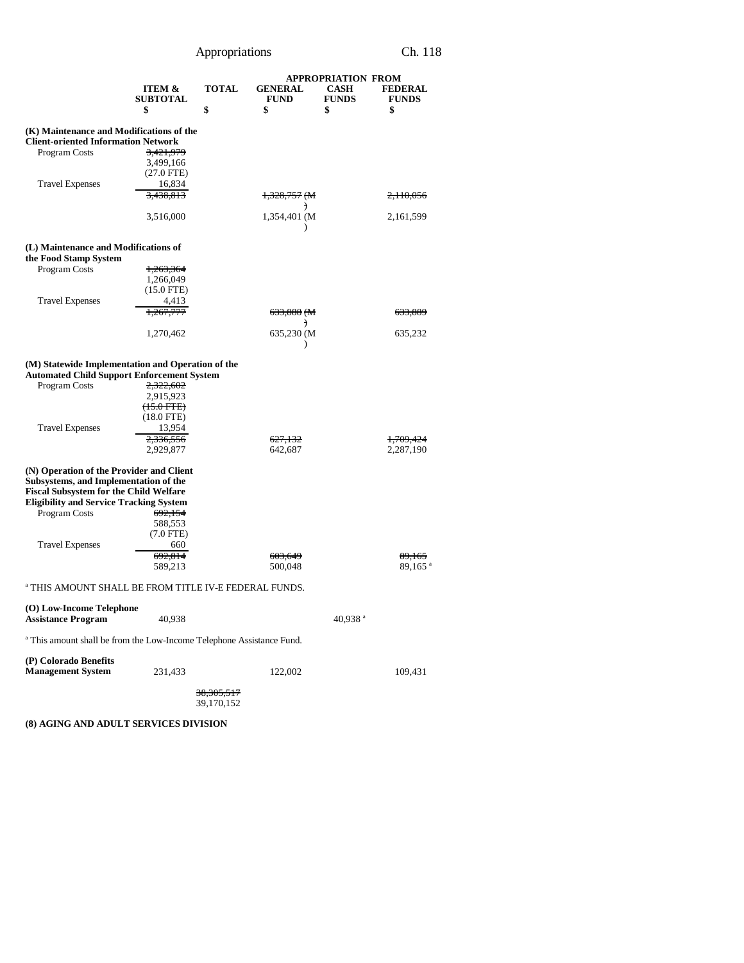|                                                                                                                                                                                                       |                                        |                                     |                                | <b>APPROPRIATION FROM</b>   |                                |
|-------------------------------------------------------------------------------------------------------------------------------------------------------------------------------------------------------|----------------------------------------|-------------------------------------|--------------------------------|-----------------------------|--------------------------------|
|                                                                                                                                                                                                       | ITEM &<br><b>SUBTOTAL</b>              | <b>TOTAL</b>                        | <b>GENERAL</b><br><b>FUND</b>  | <b>CASH</b><br><b>FUNDS</b> | <b>FEDERAL</b><br><b>FUNDS</b> |
|                                                                                                                                                                                                       | \$                                     | \$                                  | \$                             | \$                          | \$                             |
| (K) Maintenance and Modifications of the<br><b>Client-oriented Information Network</b>                                                                                                                |                                        |                                     |                                |                             |                                |
| Program Costs                                                                                                                                                                                         | 3.421.979<br>3,499,166<br>$(27.0$ FTE) |                                     |                                |                             |                                |
| <b>Travel Expenses</b>                                                                                                                                                                                | 16,834<br>3,438,813                    |                                     | $1,328,757$ (M                 |                             | 2,110,056                      |
|                                                                                                                                                                                                       | 3,516,000                              |                                     | $\rightarrow$<br>1,354,401 (M) |                             | 2,161,599                      |
|                                                                                                                                                                                                       |                                        |                                     | $\mathcal{E}$                  |                             |                                |
| (L) Maintenance and Modifications of<br>the Food Stamp System                                                                                                                                         |                                        |                                     |                                |                             |                                |
| Program Costs                                                                                                                                                                                         | 1,263,364                              |                                     |                                |                             |                                |
|                                                                                                                                                                                                       | 1,266,049                              |                                     |                                |                             |                                |
|                                                                                                                                                                                                       | $(15.0$ FTE)                           |                                     |                                |                             |                                |
|                                                                                                                                                                                                       |                                        |                                     |                                |                             |                                |
| <b>Travel Expenses</b>                                                                                                                                                                                | 4,413                                  |                                     |                                |                             |                                |
|                                                                                                                                                                                                       | 1,267,777                              |                                     | 633,888 (M<br>€                |                             | 633,889                        |
|                                                                                                                                                                                                       | 1,270,462                              |                                     | 635,230 (M)<br>⟩               |                             | 635,232                        |
| (M) Statewide Implementation and Operation of the<br><b>Automated Child Support Enforcement System</b>                                                                                                |                                        |                                     |                                |                             |                                |
| Program Costs                                                                                                                                                                                         | 2,322,602                              |                                     |                                |                             |                                |
|                                                                                                                                                                                                       | 2,915,923                              |                                     |                                |                             |                                |
|                                                                                                                                                                                                       | $(15.0$ FTE)                           |                                     |                                |                             |                                |
|                                                                                                                                                                                                       | $(18.0$ FTE)                           |                                     |                                |                             |                                |
|                                                                                                                                                                                                       |                                        |                                     |                                |                             |                                |
| <b>Travel Expenses</b>                                                                                                                                                                                | 13,954                                 |                                     |                                |                             |                                |
|                                                                                                                                                                                                       | 2,336,556                              |                                     | <del>627,132</del>             |                             | 1,709,424                      |
|                                                                                                                                                                                                       | 2,929,877                              |                                     | 642,687                        |                             | 2,287,190                      |
| (N) Operation of the Provider and Client<br>Subsystems, and Implementation of the<br><b>Fiscal Subsystem for the Child Welfare</b><br><b>Eligibility and Service Tracking System</b><br>Program Costs | 692,154                                |                                     |                                |                             |                                |
|                                                                                                                                                                                                       |                                        |                                     |                                |                             |                                |
|                                                                                                                                                                                                       | 588,553                                |                                     |                                |                             |                                |
|                                                                                                                                                                                                       | $(7.0$ FTE)                            |                                     |                                |                             |                                |
| <b>Travel Expenses</b>                                                                                                                                                                                | 660                                    |                                     |                                |                             |                                |
|                                                                                                                                                                                                       | 692,814                                |                                     | 603,649                        |                             | 89,165                         |
|                                                                                                                                                                                                       | 589,213                                |                                     | 500,048                        |                             | 89,165 <sup>a</sup>            |
| <sup>a</sup> THIS AMOUNT SHALL BE FROM TITLE IV-E FEDERAL FUNDS.                                                                                                                                      |                                        |                                     |                                |                             |                                |
| (O) Low-Income Telephone<br><b>Assistance Program</b>                                                                                                                                                 | 40,938                                 |                                     |                                | 40,938 <sup>a</sup>         |                                |
| <sup>a</sup> This amount shall be from the Low-Income Telephone Assistance Fund.                                                                                                                      |                                        |                                     |                                |                             |                                |
|                                                                                                                                                                                                       |                                        |                                     |                                |                             |                                |
| (P) Colorado Benefits<br><b>Management System</b>                                                                                                                                                     | 231,433                                |                                     | 122,002                        |                             | 109,431                        |
|                                                                                                                                                                                                       |                                        | <del>38,305,517</del><br>39,170,152 |                                |                             |                                |

**(8) AGING AND ADULT SERVICES DIVISION**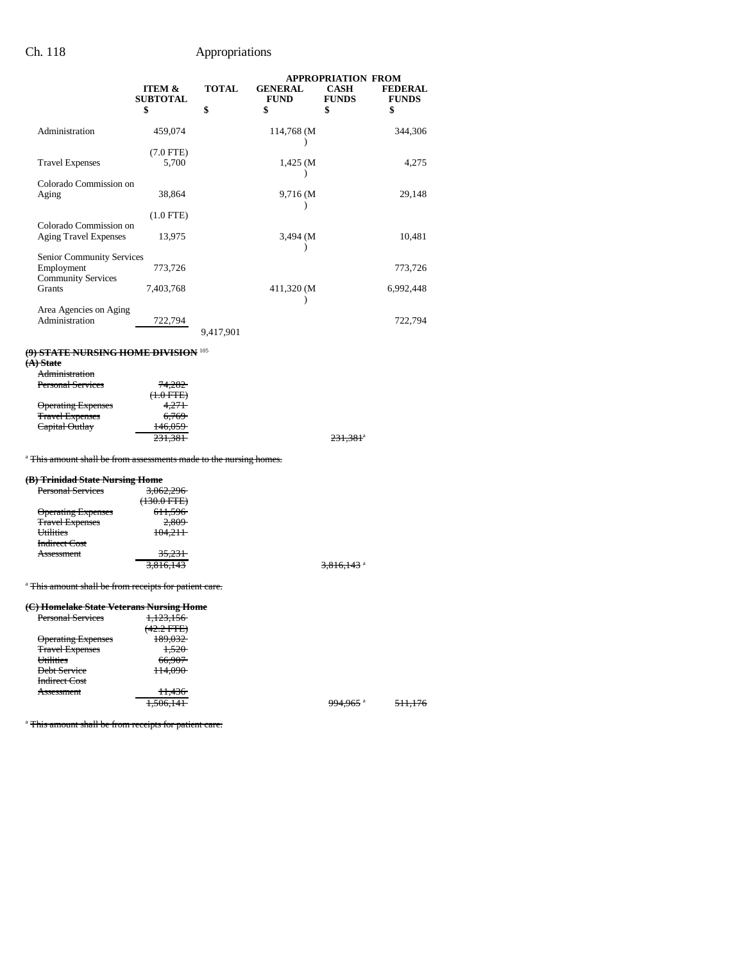|                                                        |                                      | <b>APPROPRIATION FROM</b> |                               |                             |                                |
|--------------------------------------------------------|--------------------------------------|---------------------------|-------------------------------|-----------------------------|--------------------------------|
|                                                        | <b>ITEM &amp;</b><br><b>SUBTOTAL</b> | <b>TOTAL</b>              | <b>GENERAL</b><br><b>FUND</b> | <b>CASH</b><br><b>FUNDS</b> | <b>FEDERAL</b><br><b>FUNDS</b> |
|                                                        | \$                                   | \$                        | \$                            | \$                          | \$                             |
| Administration                                         | 459,074                              |                           | 114,768 (M                    |                             | 344,306                        |
|                                                        | $(7.0$ FTE)                          |                           |                               |                             |                                |
| <b>Travel Expenses</b>                                 | 5,700                                |                           | $1,425$ (M                    |                             | 4,275                          |
| Colorado Commission on                                 |                                      |                           |                               |                             |                                |
| Aging                                                  | 38,864                               |                           | 9,716 (M)                     |                             | 29,148                         |
|                                                        | $(1.0$ FTE $)$                       |                           |                               |                             |                                |
| Colorado Commission on<br><b>Aging Travel Expenses</b> | 13,975                               |                           | 3,494 (M)                     |                             | 10,481                         |
| Senior Community Services                              |                                      |                           |                               |                             |                                |
| Employment<br><b>Community Services</b>                | 773,726                              |                           |                               |                             | 773,726                        |
| <b>Grants</b>                                          | 7,403,768                            |                           | 411,320 (M)                   |                             | 6,992,448                      |
| Area Agencies on Aging<br>Administration               | 722,794                              | 9,417,901                 |                               |                             | 722,794                        |

### **(9) STATE NURSING HOME DIVISION** <sup>105</sup>

**(A) State**

| .,                        |                  |  |
|---------------------------|------------------|--|
| Administration            |                  |  |
| <b>Personal Services</b>  | 74,282           |  |
|                           | $(1.0$ FTE)      |  |
| <b>Operating Expenses</b> | 4.271            |  |
| <b>Travel Expenses</b>    | <del>6,769</del> |  |
| Capital Outlay            | 146.059          |  |
|                           | 231,381          |  |
|                           |                  |  |

231,381<sup>a</sup>

### <sup>a</sup> This amount shall be from assessments made to the nursing homes.

## **(B) Trinidad State Nursing Home**

| o) Trinnaaa state Fursing Home |                                   |                          |
|--------------------------------|-----------------------------------|--------------------------|
| <b>Personal Services</b>       | 3,062,296                         |                          |
|                                | $(120.0 \text{ FPT})$<br>130.011E |                          |
| <b>Operating Expenses</b>      | 611,596                           |                          |
| <b>Travel Expenses</b>         | 2,809                             |                          |
| Utilities                      | 104.211                           |                          |
| Indirect Cost                  |                                   |                          |
| Assessment                     | 35.231                            |                          |
|                                | 3,816,143                         | $3,816,143$ <sup>a</sup> |
|                                |                                   |                          |
|                                |                                   |                          |

<sup>a</sup> This amount shall be from receipts for patient care.

### **(C) Homelake State Veterans Nursing Home**

| <b>Personal Services</b>  | 1,123,156                                |                                   |                           |
|---------------------------|------------------------------------------|-----------------------------------|---------------------------|
|                           | $(42.2 \text{ FPE})$<br>(42.2 FTE)       |                                   |                           |
| <b>Operating Expenses</b> | 100.022<br>109,032                       |                                   |                           |
| <b>Travel Expenses</b>    | 1.500<br>1.JZU                           |                                   |                           |
| Utilities                 | $\epsilon$ $\epsilon$ $\Omega$<br>00,707 |                                   |                           |
| Debt Service              | 114000<br>114.090                        |                                   |                           |
| <b>Indirect Cost</b>      |                                          |                                   |                           |
| Assessment                | 11.42c<br>11.430                         |                                   |                           |
|                           | $1.50 \leq 1.11$<br>1.900.141            | $0.04 \leq \epsilon$ a<br>774.70J | 511.176<br><b>JII.ITU</b> |
|                           |                                          |                                   |                           |

<sup>a</sup> This amount shall be from receipts for patient care.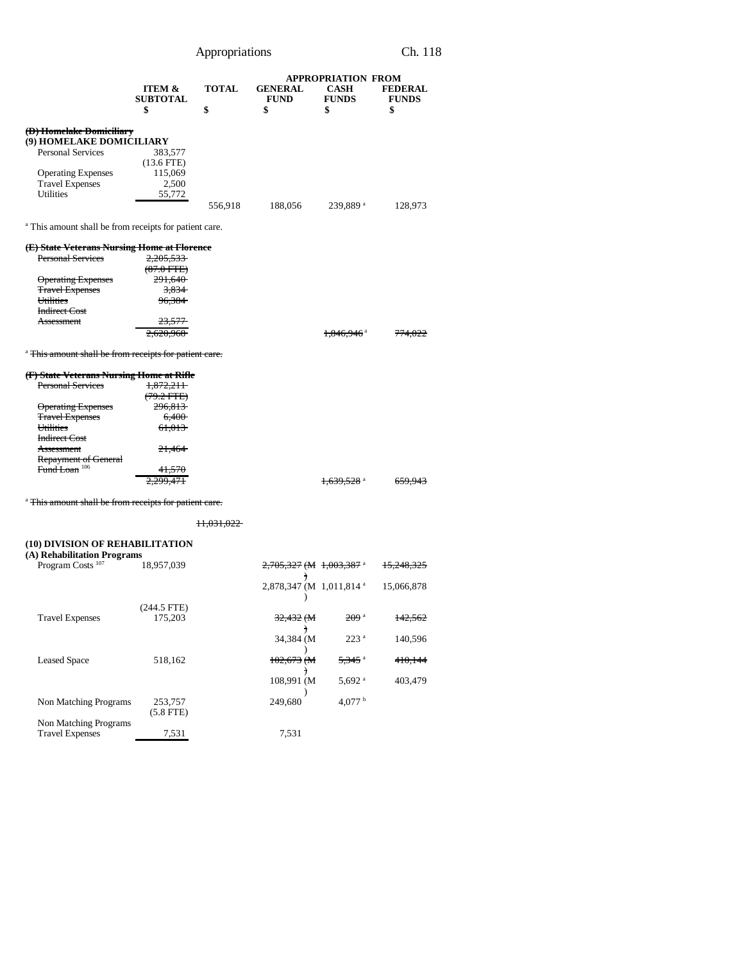|                                                                                                                                                                                                                                           | <b>ITEM &amp;</b><br><b>SUBTOTAL</b>                                                                                 | <b>TOTAL</b>          | <b>GENERAL</b><br><b>FUND</b>             | <b>APPROPRIATION FROM</b><br><b>CASH</b><br><b>FUNDS</b> | <b>FEDERAL</b><br><b>FUNDS</b> |
|-------------------------------------------------------------------------------------------------------------------------------------------------------------------------------------------------------------------------------------------|----------------------------------------------------------------------------------------------------------------------|-----------------------|-------------------------------------------|----------------------------------------------------------|--------------------------------|
|                                                                                                                                                                                                                                           | \$                                                                                                                   | \$                    | \$                                        | \$                                                       | \$                             |
| (D) Homelake Domiciliary<br>(9) HOMELAKE DOMICILIARY<br><b>Personal Services</b><br><b>Operating Expenses</b><br><b>Travel Expenses</b><br>Utilities                                                                                      | 383,577<br>$(13.6$ FTE)<br>115,069<br>2,500<br>55,772                                                                |                       |                                           |                                                          |                                |
|                                                                                                                                                                                                                                           |                                                                                                                      | 556,918               | 188,056                                   | 239,889 <sup>a</sup>                                     | 128,973                        |
| <sup>a</sup> This amount shall be from receipts for patient care.                                                                                                                                                                         |                                                                                                                      |                       |                                           |                                                          |                                |
| (E) State Veterans Nursing Home at Florence<br><b>Personal Services</b><br><b>Operating Expenses</b><br><b>Travel Expenses</b><br>Utilities<br><b>Indirect Cost</b><br>Assessment                                                         | 2,205,533<br>$(87.0 \text{ FFE})$<br>291,640<br><del>3,834</del><br><del>96,384</del>                                |                       |                                           |                                                          |                                |
|                                                                                                                                                                                                                                           |                                                                                                                      |                       |                                           | 1,846,946 <sup>a</sup>                                   |                                |
| <sup>a</sup> This amount shall be from receipts for patient care.                                                                                                                                                                         |                                                                                                                      |                       |                                           |                                                          |                                |
| (F) State Veterans Nursing Home at Rifle<br><b>Personal Services</b><br><b>Operating Expenses</b><br><b>Travel Expenses</b><br>Utilities<br><b>Indirect Cost</b><br><b>Assessment</b><br>Repayment of General<br>Fund Loan <sup>106</sup> | 1,872,211<br>$(79.2 \text{ FFE})$<br>296,813<br>6,400<br><del>61,013</del><br><del>21,464</del><br><del>41,570</del> |                       |                                           |                                                          |                                |
|                                                                                                                                                                                                                                           |                                                                                                                      |                       |                                           | 1,639,528 a                                              | <del>659.943</del>             |
| <sup>a</sup> This amount shall be from receipts for patient care.                                                                                                                                                                         |                                                                                                                      |                       |                                           |                                                          |                                |
|                                                                                                                                                                                                                                           |                                                                                                                      | <del>11,031,022</del> |                                           |                                                          |                                |
| (10) DIVISION OF REHABILITATION                                                                                                                                                                                                           |                                                                                                                      |                       |                                           |                                                          |                                |
| (A) Rehabilitation Programs<br>Program Costs <sup>107</sup>                                                                                                                                                                               | 18,957,039                                                                                                           |                       | 2,705,327 (M 1,003,387 a                  |                                                          | 15,248,325                     |
|                                                                                                                                                                                                                                           |                                                                                                                      |                       | $\rightarrow$<br>2,878,347 (M 1,011,814 a |                                                          | 15,066,878                     |
| <b>Travel Expenses</b>                                                                                                                                                                                                                    | $(244.5$ FTE)<br>175,203                                                                                             |                       | 32,432 (M                                 | 209 <sup>a</sup>                                         | <del>142,562</del>             |
|                                                                                                                                                                                                                                           |                                                                                                                      |                       | $\lambda$<br>34,384 (M                    | 223 <sup>a</sup>                                         | 140,596                        |
| <b>Leased Space</b>                                                                                                                                                                                                                       | 518,162                                                                                                              |                       | $102,673$ (M                              | <del>5,345</del> a                                       | 410,144                        |
|                                                                                                                                                                                                                                           |                                                                                                                      |                       | T<br>108,991 (M                           | 5,692 <sup>a</sup>                                       | 403,479                        |
| Non Matching Programs                                                                                                                                                                                                                     | 253,757<br>$(5.8$ FTE)                                                                                               |                       | 249,680                                   | 4,077 h                                                  |                                |

Travel Expenses 7,531 7,531 7,531

Non Matching Programs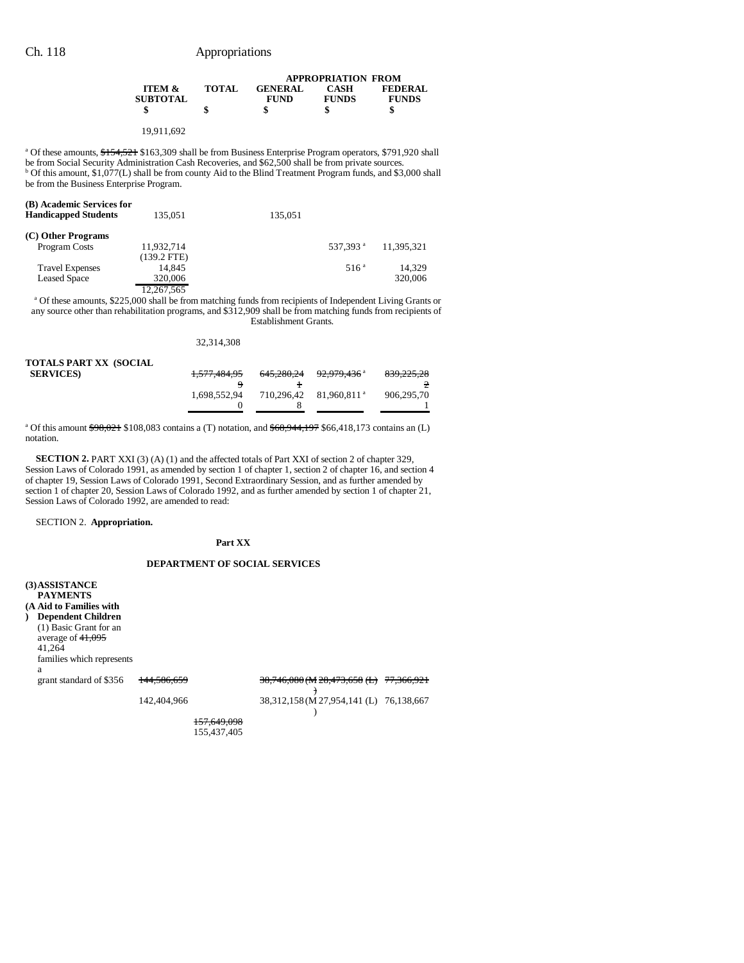|                                 |              | <b>APPROPRIATION FROM</b> |              |                |  |
|---------------------------------|--------------|---------------------------|--------------|----------------|--|
| <b>ITEM <math>\&amp;</math></b> | <b>TOTAL</b> | <b>GENERAL</b>            | <b>CASH</b>  | <b>FEDERAL</b> |  |
| <b>SUBTOTAL</b>                 |              | <b>FUND</b>               | <b>FUNDS</b> | <b>FUNDS</b>   |  |
|                                 |              |                           |              |                |  |
|                                 |              |                           |              |                |  |

19,911,692

<sup>a</sup> Of these amounts, \$154,521 \$163,309 shall be from Business Enterprise Program operators, \$791,920 shall be from Social Security Administration Cash Recoveries, and \$62,500 shall be from private sources. <sup>b</sup> Of this amount, \$1,077(L) shall be from county Aid to the Blind Treatment Program funds, and \$3,000 shall be from the Business Enterprise Program.

| (B) Academic Services for<br><b>Handicapped Students</b> | 135,051       | 135.051 |                      |            |
|----------------------------------------------------------|---------------|---------|----------------------|------------|
| (C) Other Programs                                       |               |         |                      |            |
| Program Costs                                            | 11,932,714    |         | 537.393 <sup>a</sup> | 11.395.321 |
|                                                          | $(139.2$ FTE) |         |                      |            |
| <b>Travel Expenses</b>                                   | 14.845        |         | 516 <sup>a</sup>     | 14.329     |
| <b>Leased Space</b>                                      | 320,006       |         |                      | 320,006    |
|                                                          | 12 267 565    |         |                      |            |

12,267,565 a Of these amounts, \$225,000 shall be from matching funds from recipients of Independent Living Grants or any source other than rehabilitation programs, and \$312,909 shall be from matching funds from recipients of Establishment Grants.

32,314,308

| TOTALS PART XX (SOCIAL |              |            |                                    |            |
|------------------------|--------------|------------|------------------------------------|------------|
| <b>SERVICES</b>        | 1,577,484,95 | 645.280.24 | <del>92.979.436</del> <sup>a</sup> | 839,225,28 |
|                        |              |            |                                    |            |
|                        | 1.698.552.94 | 710.296.42 | 81.960.811 <sup>a</sup>            | 906.295.70 |
|                        |              |            |                                    |            |
|                        |              |            |                                    |            |

<sup>a</sup> Of this amount <del>\$98,021</del> \$108,083 contains a (T) notation, and <del>\$68,944,197</del> \$66,418,173 contains an (L) notation.

**SECTION 2.** PART XXI (3) (A) (1) and the affected totals of Part XXI of section 2 of chapter 329, Session Laws of Colorado 1991, as amended by section 1 of chapter 1, section 2 of chapter 16, and section 4 of chapter 19, Session Laws of Colorado 1991, Second Extraordinary Session, and as further amended by section 1 of chapter 20, Session Laws of Colorado 1992, and as further amended by section 1 of chapter 21, Session Laws of Colorado 1992, are amended to read:

SECTION 2. **Appropriation.**

### **Part XX**

### **DEPARTMENT OF SOCIAL SERVICES**

**(3)ASSISTANCE PAYMENTS (A Aid to Families with ) Dependent Children** (1) Basic Grant for an average of  $41,095$ 41,264 families which represents a grant standard of \$356 144,586,659 ) 38,746,080 (M 28,473,658 (L) 77,366,921 142,404,966 38,312,158 (M 27,954,141 (L) 76,138,667 )

 157,649,098 155,437,405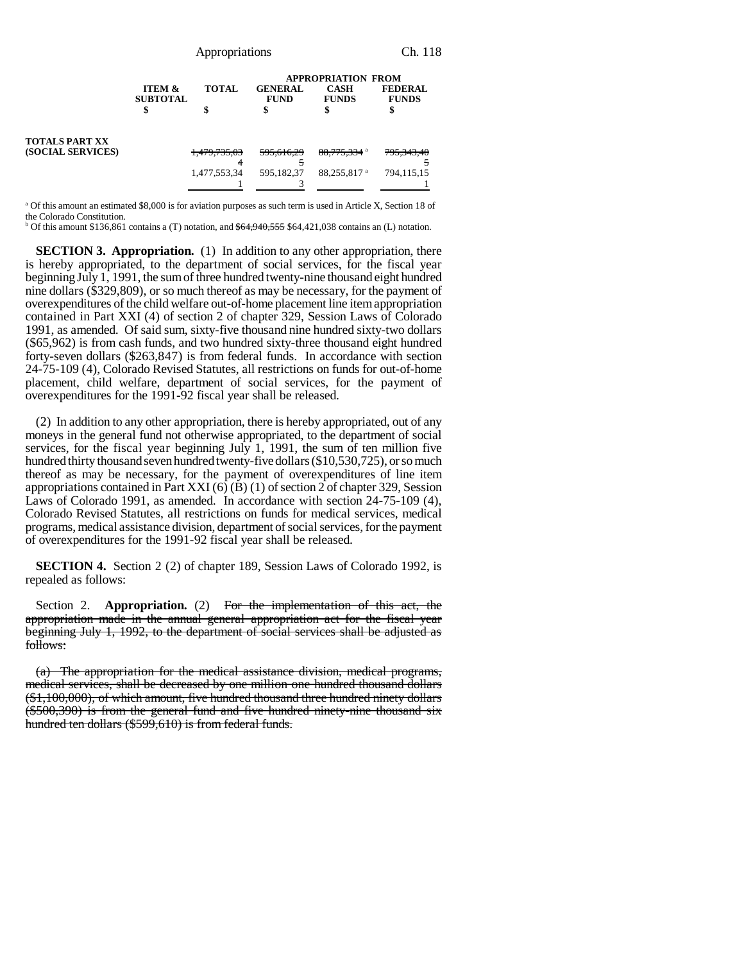| Appropriations | Ch. 118 |
|----------------|---------|
|----------------|---------|

**APPROPRIATION FROM** 

|                   |                                      |                         | APPROPRIATION FROM            |                             |                                |
|-------------------|--------------------------------------|-------------------------|-------------------------------|-----------------------------|--------------------------------|
|                   | <b>ITEM &amp;</b><br><b>SUBTOTAL</b> | <b>TOTAL</b>            | <b>GENERAL</b><br><b>FUND</b> | <b>CASH</b><br><b>FUNDS</b> | <b>FEDERAL</b><br><b>FUNDS</b> |
|                   |                                      |                         |                               |                             |                                |
| TOTALS PART XX    |                                      |                         |                               |                             |                                |
| (SOCIAL SERVICES) |                                      | <del>1,479,735,03</del> | 595,616,29                    | 88,775,334 a                | 795,343,40                     |
|                   |                                      |                         |                               |                             |                                |
|                   |                                      | 1,477,553,34            | 595.182.37                    | 88.255.817 <sup>a</sup>     | 794,115,15                     |
|                   |                                      |                         |                               |                             |                                |

a Of this amount an estimated \$8,000 is for aviation purposes as such term is used in Article X, Section 18 of the Colorado Constitution.

<sup>b</sup> Of this amount \$136,861 contains a (T) notation, and  $$64,940,555$  \$64,421,038 contains an (L) notation.

**SECTION 3. Appropriation.** (1) In addition to any other appropriation, there is hereby appropriated, to the department of social services, for the fiscal year beginning July 1, 1991, the sum of three hundred twenty-nine thousand eight hundred nine dollars (\$329,809), or so much thereof as may be necessary, for the payment of overexpenditures of the child welfare out-of-home placement line item appropriation contained in Part XXI (4) of section 2 of chapter 329, Session Laws of Colorado 1991, as amended. Of said sum, sixty-five thousand nine hundred sixty-two dollars (\$65,962) is from cash funds, and two hundred sixty-three thousand eight hundred forty-seven dollars (\$263,847) is from federal funds. In accordance with section 24-75-109 (4), Colorado Revised Statutes, all restrictions on funds for out-of-home placement, child welfare, department of social services, for the payment of overexpenditures for the 1991-92 fiscal year shall be released.

(2) In addition to any other appropriation, there is hereby appropriated, out of any moneys in the general fund not otherwise appropriated, to the department of social services, for the fiscal year beginning July 1, 1991, the sum of ten million five hundred thirty thousand seven hundred twenty-five dollars (\$10,530,725), or so much thereof as may be necessary, for the payment of overexpenditures of line item appropriations contained in Part XXI (6) (B) (1) of section 2 of chapter 329, Session Laws of Colorado 1991, as amended. In accordance with section 24-75-109 (4), Colorado Revised Statutes, all restrictions on funds for medical services, medical programs, medical assistance division, department of social services, for the payment of overexpenditures for the 1991-92 fiscal year shall be released.

**SECTION 4.** Section 2 (2) of chapter 189, Session Laws of Colorado 1992, is repealed as follows:

Section 2. **Appropriation.** (2) For the implementation of this act, the appropriation made in the annual general appropriation act for the fiscal year beginning July 1, 1992, to the department of social services shall be adjusted as follows:

(a) The appropriation for the medical assistance division, medical programs, medical services, shall be decreased by one million one hundred thousand dollars (\$1,100,000), of which amount, five hundred thousand three hundred ninety dollars (\$500,390) is from the general fund and five hundred ninety-nine thousand six hundred ten dollars (\$599,610) is from federal funds.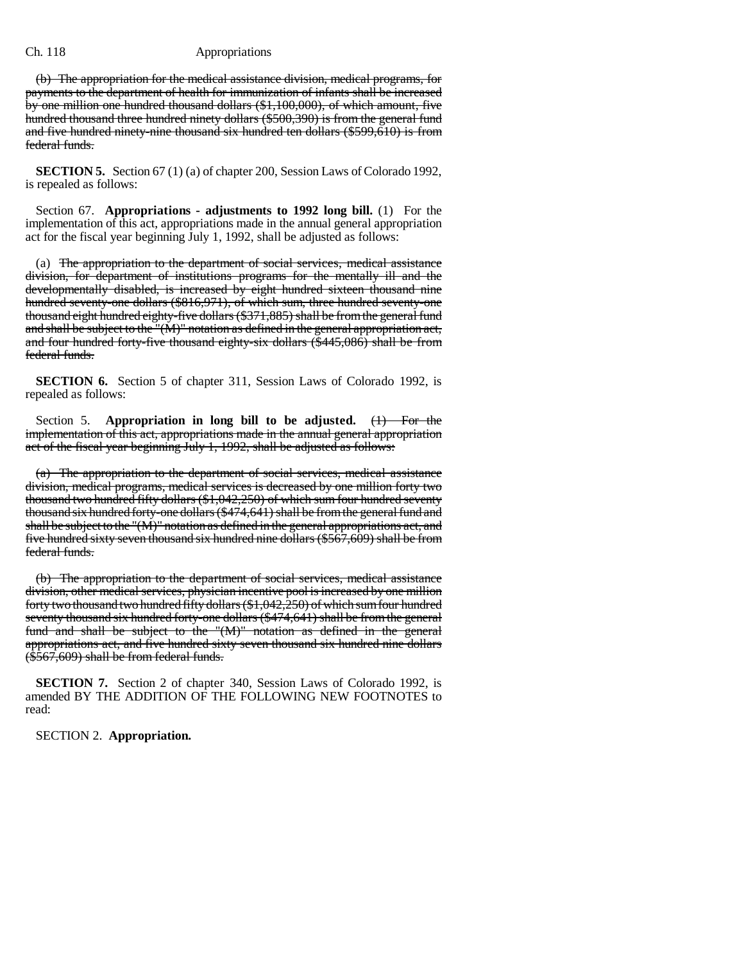(b) The appropriation for the medical assistance division, medical programs, for payments to the department of health for immunization of infants shall be increased by one million one hundred thousand dollars (\$1,100,000), of which amount, five hundred thousand three hundred ninety dollars (\$500,390) is from the general fund and five hundred ninety-nine thousand six hundred ten dollars (\$599,610) is from federal funds.

**SECTION 5.** Section 67 (1) (a) of chapter 200, Session Laws of Colorado 1992, is repealed as follows:

Section 67. **Appropriations - adjustments to 1992 long bill.** (1) For the implementation of this act, appropriations made in the annual general appropriation act for the fiscal year beginning July 1, 1992, shall be adjusted as follows:

(a) The appropriation to the department of social services, medical assistance division, for department of institutions programs for the mentally ill and the developmentally disabled, is increased by eight hundred sixteen thousand nine hundred seventy-one dollars (\$816,971), of which sum, three hundred seventy-one thousand eight hundred eighty-five dollars (\$371,885) shall be from the general fund and shall be subject to the "(M)" notation as defined in the general appropriation act, and four hundred forty-five thousand eighty-six dollars (\$445,086) shall be from federal funds.

**SECTION 6.** Section 5 of chapter 311, Session Laws of Colorado 1992, is repealed as follows:

Section 5. **Appropriation in long bill to be adjusted.** (1) For the implementation of this act, appropriations made in the annual general appropriation act of the fiscal year beginning July 1, 1992, shall be adjusted as follows:

(a) The appropriation to the department of social services, medical assistance division, medical programs, medical services is decreased by one million forty two thousand two hundred fifty dollars (\$1,042,250) of which sum four hundred seventy thousand six hundred forty-one dollars (\$474,641) shall be from the general fund and shall be subject to the "(M)" notation as defined in the general appropriations act, and five hundred sixty seven thousand six hundred nine dollars (\$567,609) shall be from federal funds.

(b) The appropriation to the department of social services, medical assistance division, other medical services, physician incentive pool is increased by one million forty two thousand two hundred fifty dollars (\$1,042,250) of which sum four hundred seventy thousand six hundred forty-one dollars (\$474,641) shall be from the general fund and shall be subject to the "(M)" notation as defined in the general appropriations act, and five hundred sixty seven thousand six hundred nine dollars (\$567,609) shall be from federal funds.

**SECTION 7.** Section 2 of chapter 340, Session Laws of Colorado 1992, is amended BY THE ADDITION OF THE FOLLOWING NEW FOOTNOTES to read:

SECTION 2. **Appropriation.**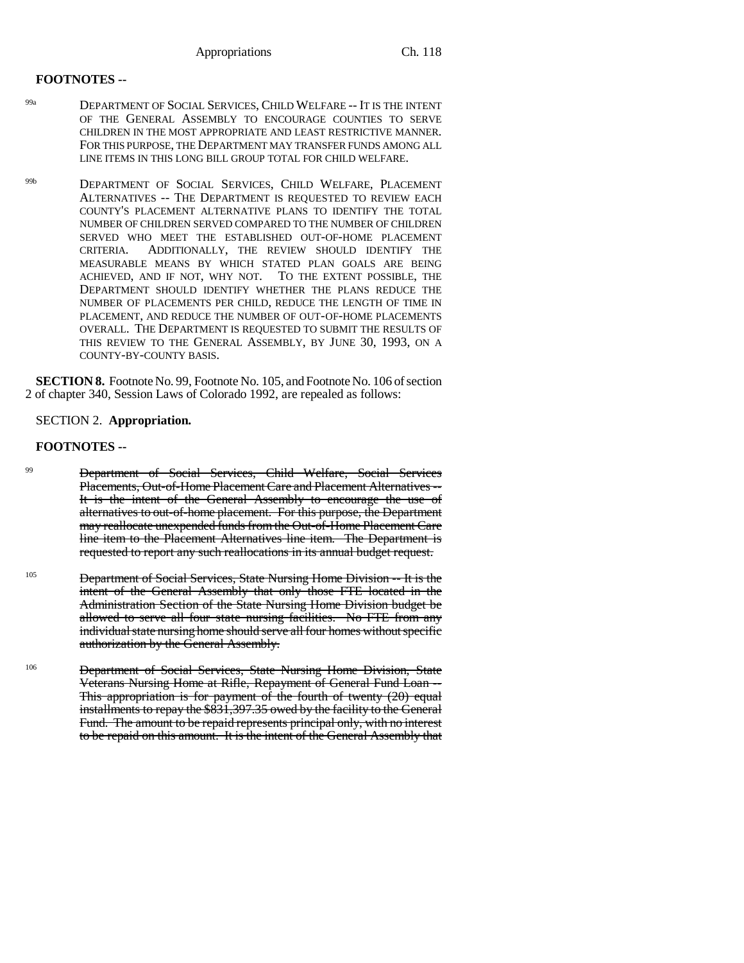## **FOOTNOTES --**

- 99a DEPARTMENT OF SOCIAL SERVICES, CHILD WELFARE -- IT IS THE INTENT OF THE GENERAL ASSEMBLY TO ENCOURAGE COUNTIES TO SERVE CHILDREN IN THE MOST APPROPRIATE AND LEAST RESTRICTIVE MANNER. FOR THIS PURPOSE, THE DEPARTMENT MAY TRANSFER FUNDS AMONG ALL LINE ITEMS IN THIS LONG BILL GROUP TOTAL FOR CHILD WELFARE.
- 99b DEPARTMENT OF SOCIAL SERVICES, CHILD WELFARE, PLACEMENT ALTERNATIVES -- THE DEPARTMENT IS REQUESTED TO REVIEW EACH COUNTY'S PLACEMENT ALTERNATIVE PLANS TO IDENTIFY THE TOTAL NUMBER OF CHILDREN SERVED COMPARED TO THE NUMBER OF CHILDREN SERVED WHO MEET THE ESTABLISHED OUT-OF-HOME PLACEMENT CRITERIA. ADDITIONALLY, THE REVIEW SHOULD IDENTIFY THE MEASURABLE MEANS BY WHICH STATED PLAN GOALS ARE BEING ACHIEVED, AND IF NOT, WHY NOT. TO THE EXTENT POSSIBLE, THE DEPARTMENT SHOULD IDENTIFY WHETHER THE PLANS REDUCE THE NUMBER OF PLACEMENTS PER CHILD, REDUCE THE LENGTH OF TIME IN PLACEMENT, AND REDUCE THE NUMBER OF OUT-OF-HOME PLACEMENTS OVERALL. THE DEPARTMENT IS REQUESTED TO SUBMIT THE RESULTS OF THIS REVIEW TO THE GENERAL ASSEMBLY, BY JUNE 30, 1993, ON A COUNTY-BY-COUNTY BASIS.

**SECTION 8.** Footnote No. 99, Footnote No. 105, and Footnote No. 106 of section 2 of chapter 340, Session Laws of Colorado 1992, are repealed as follows:

## SECTION 2. **Appropriation.**

## **FOOTNOTES --**

- <sup>99</sup> Department of Social Services, Child Welfare, Social Services Placements, Out-of-Home Placement Care and Placement Alternatives -- It is the intent of the General Assembly to encourage the use of alternatives to out-of-home placement. For this purpose, the Department may reallocate unexpended funds from the Out-of-Home Placement Care line item to the Placement Alternatives line item. The Department is requested to report any such reallocations in its annual budget request.
- <sup>105</sup> Department of Social Services, State Nursing Home Division -- It is the intent of the General Assembly that only those FTE located in the Administration Section of the State Nursing Home Division budget be allowed to serve all four state nursing facilities. No FTE from any individual state nursing home should serve all four homes without specific authorization by the General Assembly.
- <sup>106</sup> Department of Social Services, State Nursing Home Division, State Veterans Nursing Home at Rifle, Repayment of General Fund Loan -- This appropriation is for payment of the fourth of twenty (20) equal installments to repay the \$831,397.35 owed by the facility to the General Fund. The amount to be repaid represents principal only, with no interest to be repaid on this amount. It is the intent of the General Assembly that